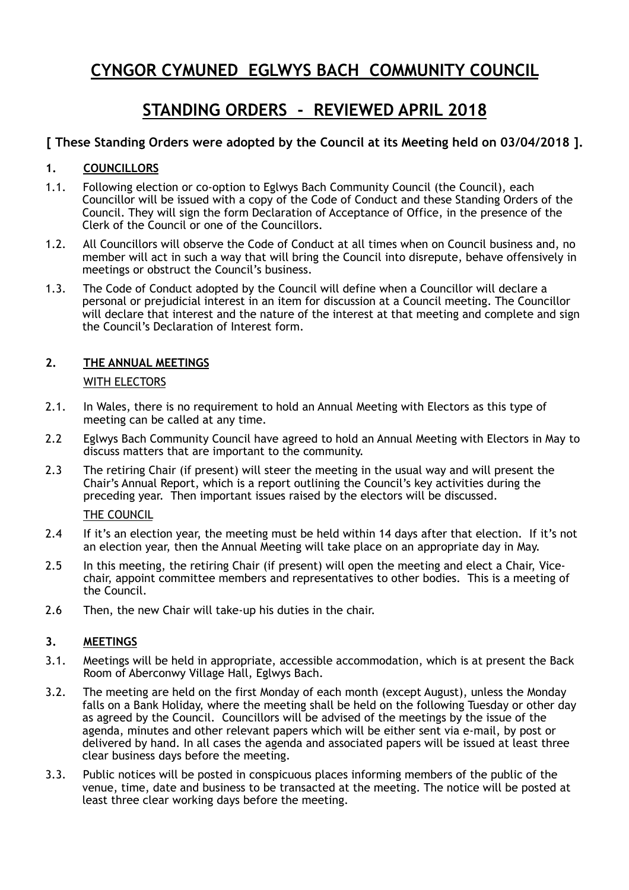# **CYNGOR CYMUNED EGLWYS BACH COMMUNITY COUNCIL**

# **STANDING ORDERS - REVIEWED APRIL 2018**

# **[ These Standing Orders were adopted by the Council at its Meeting held on 03/04/2018 ].**

## **1. COUNCILLORS**

- 1.1. Following election or co-option to Eglwys Bach Community Council (the Council), each Councillor will be issued with a copy of the Code of Conduct and these Standing Orders of the Council. They will sign the form Declaration of Acceptance of Office, in the presence of the Clerk of the Council or one of the Councillors.
- 1.2. All Councillors will observe the Code of Conduct at all times when on Council business and, no member will act in such a way that will bring the Council into disrepute, behave offensively in meetings or obstruct the Council's business.
- 1.3. The Code of Conduct adopted by the Council will define when a Councillor will declare a personal or prejudicial interest in an item for discussion at a Council meeting. The Councillor will declare that interest and the nature of the interest at that meeting and complete and sign the Council's Declaration of Interest form.

# **2. THE ANNUAL MEETINGS**

### WITH ELECTORS

- 2.1. In Wales, there is no requirement to hold an Annual Meeting with Electors as this type of meeting can be called at any time.
- 2.2 Eglwys Bach Community Council have agreed to hold an Annual Meeting with Electors in May to discuss matters that are important to the community.
- 2.3 The retiring Chair (if present) will steer the meeting in the usual way and will present the Chair's Annual Report, which is a report outlining the Council's key activities during the preceding year. Then important issues raised by the electors will be discussed.

#### THE COUNCIL

- 2.4 If it's an election year, the meeting must be held within 14 days after that election. If it's not an election year, then the Annual Meeting will take place on an appropriate day in May.
- 2.5 In this meeting, the retiring Chair (if present) will open the meeting and elect a Chair, Vicechair, appoint committee members and representatives to other bodies. This is a meeting of the Council.
- 2.6 Then, the new Chair will take-up his duties in the chair.

## **3. MEETINGS**

- 3.1. Meetings will be held in appropriate, accessible accommodation, which is at present the Back Room of Aberconwy Village Hall, Eglwys Bach.
- 3.2. The meeting are held on the first Monday of each month (except August), unless the Monday falls on a Bank Holiday, where the meeting shall be held on the following Tuesday or other day as agreed by the Council. Councillors will be advised of the meetings by the issue of the agenda, minutes and other relevant papers which will be either sent via e-mail, by post or delivered by hand. In all cases the agenda and associated papers will be issued at least three clear business days before the meeting.
- 3.3. Public notices will be posted in conspicuous places informing members of the public of the venue, time, date and business to be transacted at the meeting. The notice will be posted at least three clear working days before the meeting.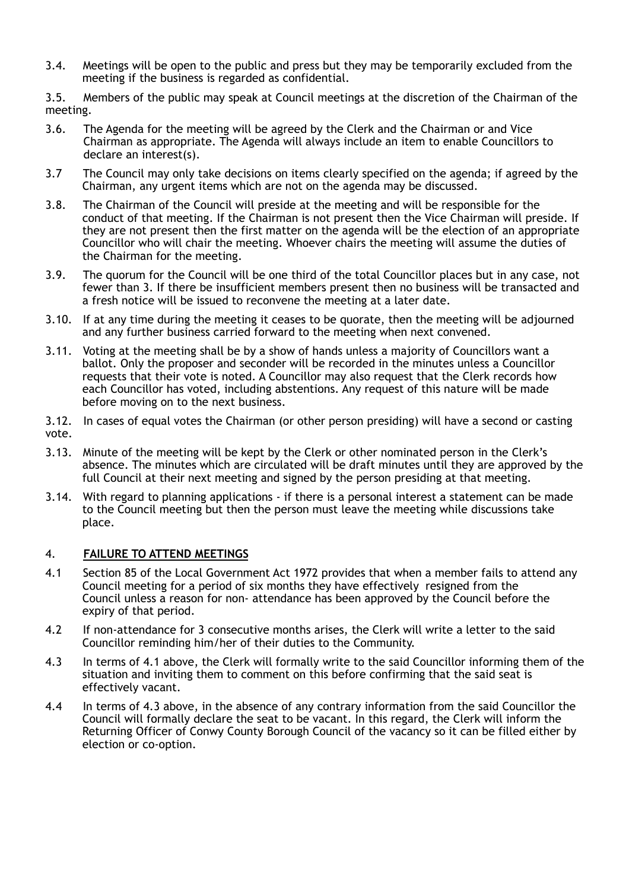- 3.4. Meetings will be open to the public and press but they may be temporarily excluded from the meeting if the business is regarded as confidential.
- 3.5. Members of the public may speak at Council meetings at the discretion of the Chairman of the meeting.
- 3.6. The Agenda for the meeting will be agreed by the Clerk and the Chairman or and Vice Chairman as appropriate. The Agenda will always include an item to enable Councillors to declare an interest(s).
- 3.7 The Council may only take decisions on items clearly specified on the agenda; if agreed by the Chairman, any urgent items which are not on the agenda may be discussed.
- 3.8. The Chairman of the Council will preside at the meeting and will be responsible for the conduct of that meeting. If the Chairman is not present then the Vice Chairman will preside. If they are not present then the first matter on the agenda will be the election of an appropriate Councillor who will chair the meeting. Whoever chairs the meeting will assume the duties of the Chairman for the meeting.
- 3.9. The quorum for the Council will be one third of the total Councillor places but in any case, not fewer than 3. If there be insufficient members present then no business will be transacted and a fresh notice will be issued to reconvene the meeting at a later date.
- 3.10. If at any time during the meeting it ceases to be quorate, then the meeting will be adjourned and any further business carried forward to the meeting when next convened.
- 3.11. Voting at the meeting shall be by a show of hands unless a majority of Councillors want a ballot. Only the proposer and seconder will be recorded in the minutes unless a Councillor requests that their vote is noted. A Councillor may also request that the Clerk records how each Councillor has voted, including abstentions. Any request of this nature will be made before moving on to the next business.
- 3.12. In cases of equal votes the Chairman (or other person presiding) will have a second or casting vote.
- 3.13. Minute of the meeting will be kept by the Clerk or other nominated person in the Clerk's absence. The minutes which are circulated will be draft minutes until they are approved by the full Council at their next meeting and signed by the person presiding at that meeting.
- 3.14. With regard to planning applications if there is a personal interest a statement can be made to the Council meeting but then the person must leave the meeting while discussions take place.

#### 4. **FAILURE TO ATTEND MEETINGS**

- 4.1 Section 85 of the Local Government Act 1972 provides that when a member fails to attend any Council meeting for a period of six months they have effectively resigned from the Council unless a reason for non- attendance has been approved by the Council before the expiry of that period.
- 4.2 If non-attendance for 3 consecutive months arises, the Clerk will write a letter to the said Councillor reminding him/her of their duties to the Community.
- 4.3 In terms of 4.1 above, the Clerk will formally write to the said Councillor informing them of the situation and inviting them to comment on this before confirming that the said seat is effectively vacant.
- 4.4 In terms of 4.3 above, in the absence of any contrary information from the said Councillor the Council will formally declare the seat to be vacant. In this regard, the Clerk will inform the Returning Officer of Conwy County Borough Council of the vacancy so it can be filled either by election or co-option.